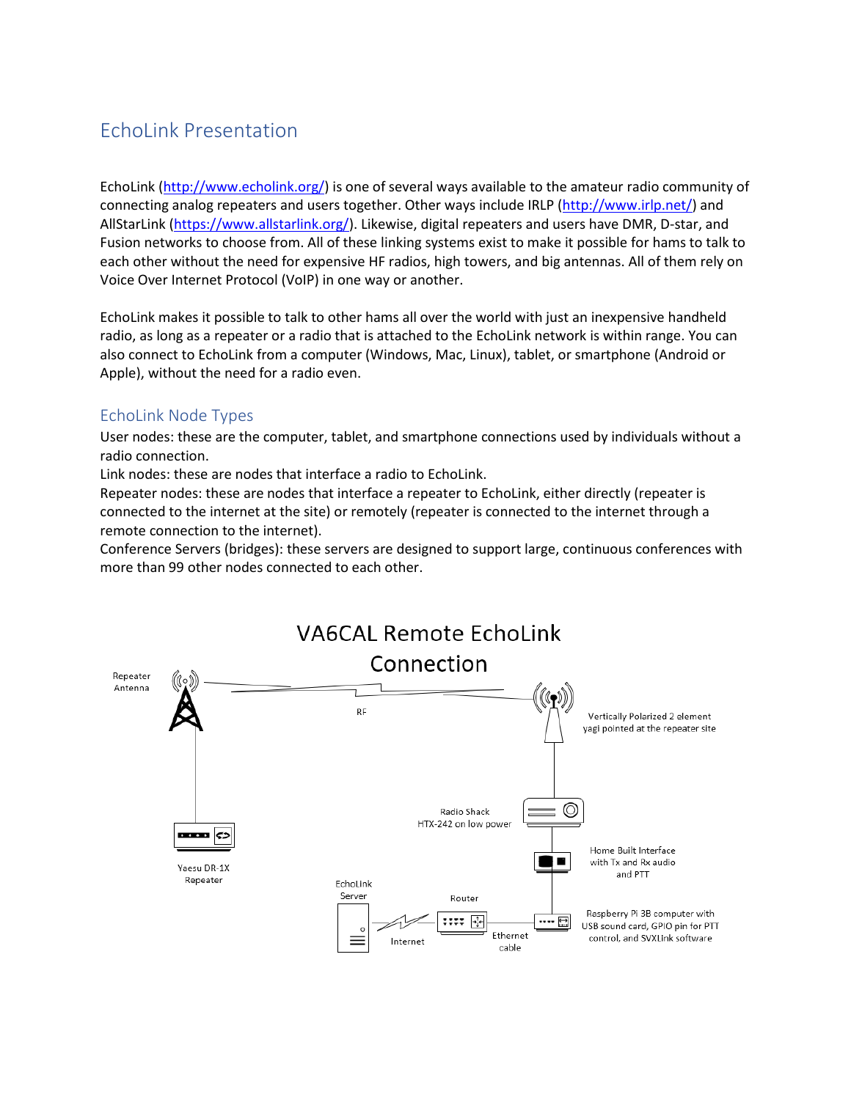# EchoLink Presentation

EchoLink [\(http://www.echolink.org/\)](http://www.echolink.org/) is one of several ways available to the amateur radio community of connecting analog repeaters and users together. Other ways include IRLP [\(http://www.irlp.net/\)](http://www.irlp.net/) and AllStarLink [\(https://www.allstarlink.org/\)](https://www.allstarlink.org/). Likewise, digital repeaters and users have DMR, D-star, and Fusion networks to choose from. All of these linking systems exist to make it possible for hams to talk to each other without the need for expensive HF radios, high towers, and big antennas. All of them rely on Voice Over Internet Protocol (VoIP) in one way or another.

EchoLink makes it possible to talk to other hams all over the world with just an inexpensive handheld radio, as long as a repeater or a radio that is attached to the EchoLink network is within range. You can also connect to EchoLink from a computer (Windows, Mac, Linux), tablet, or smartphone (Android or Apple), without the need for a radio even.

### EchoLink Node Types

User nodes: these are the computer, tablet, and smartphone connections used by individuals without a radio connection.

Link nodes: these are nodes that interface a radio to EchoLink.

Repeater nodes: these are nodes that interface a repeater to EchoLink, either directly (repeater is connected to the internet at the site) or remotely (repeater is connected to the internet through a remote connection to the internet).

Conference Servers (bridges): these servers are designed to support large, continuous conferences with more than 99 other nodes connected to each other.

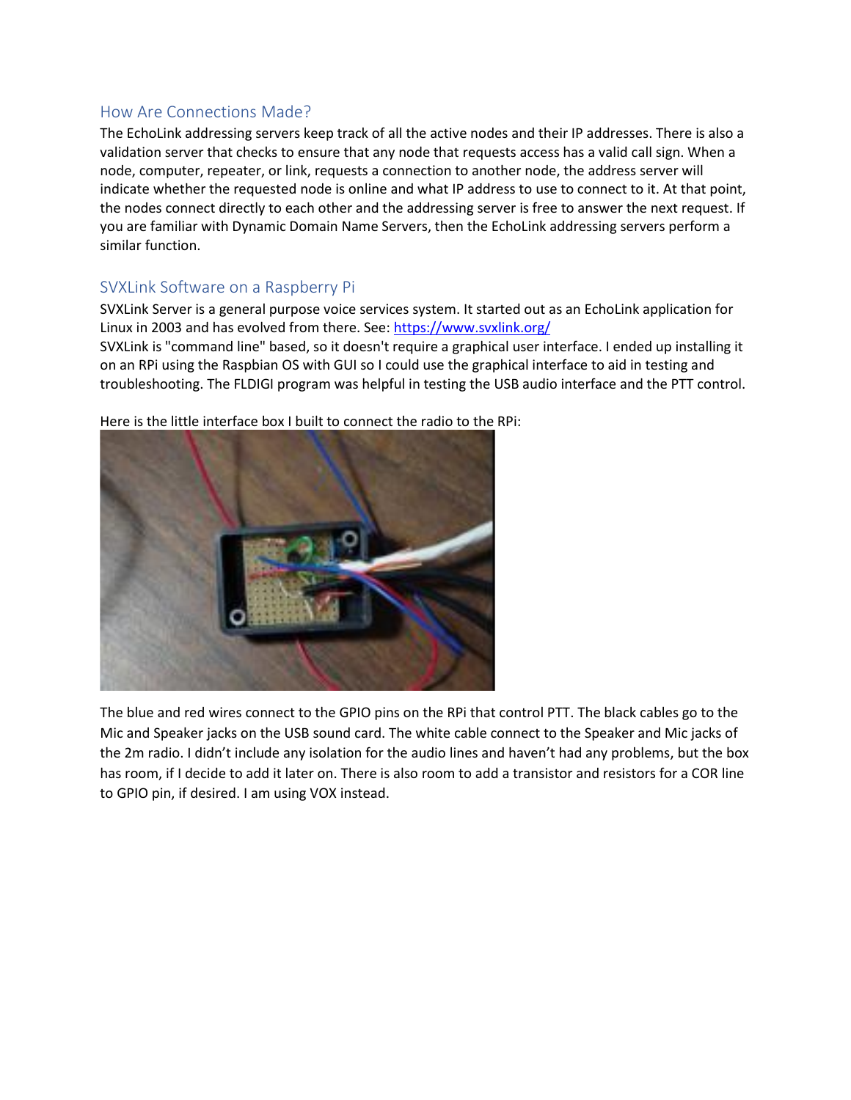### How Are Connections Made?

The EchoLink addressing servers keep track of all the active nodes and their IP addresses. There is also a validation server that checks to ensure that any node that requests access has a valid call sign. When a node, computer, repeater, or link, requests a connection to another node, the address server will indicate whether the requested node is online and what IP address to use to connect to it. At that point, the nodes connect directly to each other and the addressing server is free to answer the next request. If you are familiar with Dynamic Domain Name Servers, then the EchoLink addressing servers perform a similar function.

## SVXLink Software on a Raspberry Pi

SVXLink Server is a general purpose voice services system. It started out as an EchoLink application for Linux in 2003 and has evolved from there. See:<https://www.svxlink.org/>

SVXLink is "command line" based, so it doesn't require a graphical user interface. I ended up installing it on an RPi using the Raspbian OS with GUI so I could use the graphical interface to aid in testing and troubleshooting. The FLDIGI program was helpful in testing the USB audio interface and the PTT control.



Here is the little interface box I built to connect the radio to the RPi:

The blue and red wires connect to the GPIO pins on the RPi that control PTT. The black cables go to the Mic and Speaker jacks on the USB sound card. The white cable connect to the Speaker and Mic jacks of the 2m radio. I didn't include any isolation for the audio lines and haven't had any problems, but the box has room, if I decide to add it later on. There is also room to add a transistor and resistors for a COR line to GPIO pin, if desired. I am using VOX instead.